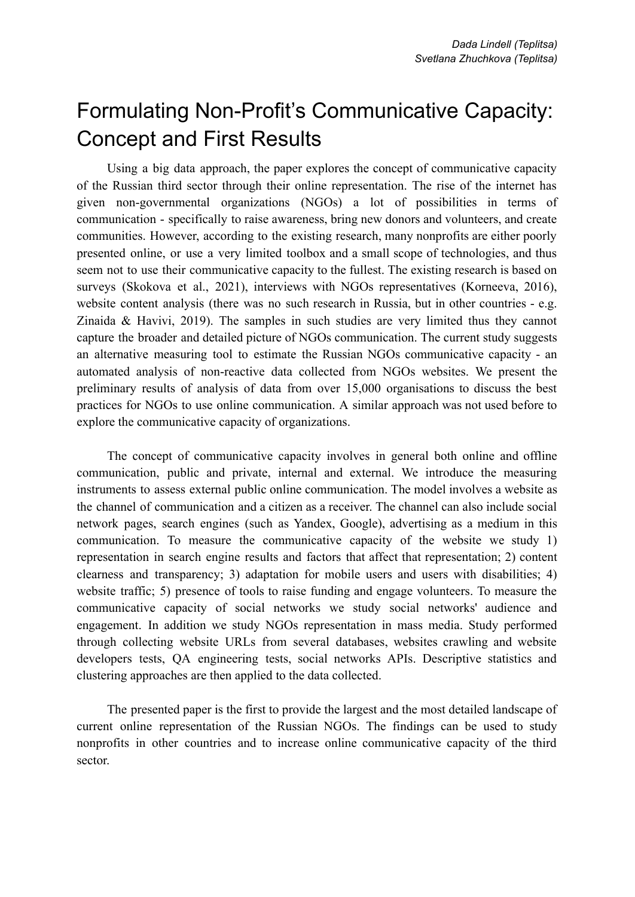## Formulating Non-Profit's Communicative Capacity: Concept and First Results

Using a big data approach, the paper explores the concept of communicative capacity of the Russian third sector through their online representation. The rise of the internet has given non-governmental organizations (NGOs) a lot of possibilities in terms of communication - specifically to raise awareness, bring new donors and volunteers, and create communities. However, according to the existing research, many nonprofits are either poorly presented online, or use a very limited toolbox and a small scope of technologies, and thus seem not to use their communicative capacity to the fullest. The existing research is based on surveys (Skokova et al., 2021), interviews with NGOs representatives (Korneeva, 2016), website content analysis (there was no such research in Russia, but in other countries - e.g. Zinaida & Havivi, 2019). The samples in such studies are very limited thus they cannot capture the broader and detailed picture of NGOs communication. The current study suggests an alternative measuring tool to estimate the Russian NGOs communicative capacity - an automated analysis of non-reactive data collected from NGOs websites. We present the preliminary results of analysis of data from over 15,000 organisations to discuss the best practices for NGOs to use online communication. A similar approach was not used before to explore the communicative capacity of organizations.

The concept of communicative capacity involves in general both online and offline communication, public and private, internal and external. We introduce the measuring instruments to assess external public online communication. The model involves a website as the channel of communication and a citizen as a receiver. The channel can also include social network pages, search engines (such as Yandex, Google), advertising as a medium in this communication. To measure the communicative capacity of the website we study 1) representation in search engine results and factors that affect that representation; 2) content clearness and transparency; 3) adaptation for mobile users and users with disabilities; 4) website traffic; 5) presence of tools to raise funding and engage volunteers. To measure the communicative capacity of social networks we study social networks' audience and engagement. In addition we study NGOs representation in mass media. Study performed through collecting website URLs from several databases, websites crawling and website developers tests, QA engineering tests, social networks APIs. Descriptive statistics and clustering approaches are then applied to the data collected.

The presented paper is the first to provide the largest and the most detailed landscape of current online representation of the Russian NGOs. The findings can be used to study nonprofits in other countries and to increase online communicative capacity of the third sector.